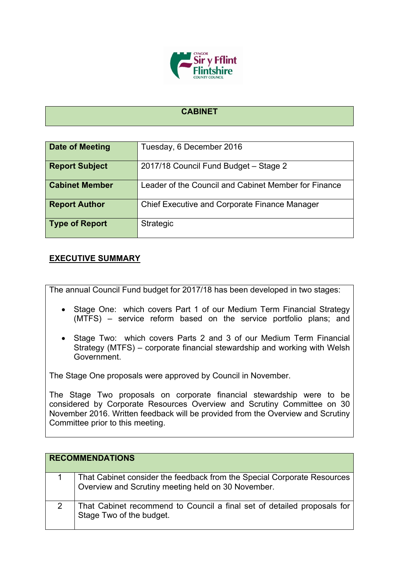

## **CABINET**

| Date of Meeting       | Tuesday, 6 December 2016                             |
|-----------------------|------------------------------------------------------|
| <b>Report Subject</b> | 2017/18 Council Fund Budget - Stage 2                |
| <b>Cabinet Member</b> | Leader of the Council and Cabinet Member for Finance |
| <b>Report Author</b>  | <b>Chief Executive and Corporate Finance Manager</b> |
| <b>Type of Report</b> | Strategic                                            |

## **EXECUTIVE SUMMARY**

The annual Council Fund budget for 2017/18 has been developed in two stages:

- Stage One: which covers Part 1 of our Medium Term Financial Strategy (MTFS) – service reform based on the service portfolio plans; and
- Stage Two: which covers Parts 2 and 3 of our Medium Term Financial Strategy (MTFS) – corporate financial stewardship and working with Welsh Government.

The Stage One proposals were approved by Council in November.

The Stage Two proposals on corporate financial stewardship were to be considered by Corporate Resources Overview and Scrutiny Committee on 30 November 2016. Written feedback will be provided from the Overview and Scrutiny Committee prior to this meeting.

| <b>RECOMMENDATIONS</b> |                                                                                                                               |
|------------------------|-------------------------------------------------------------------------------------------------------------------------------|
|                        | That Cabinet consider the feedback from the Special Corporate Resources<br>Overview and Scrutiny meeting held on 30 November. |
|                        | That Cabinet recommend to Council a final set of detailed proposals for<br>Stage Two of the budget.                           |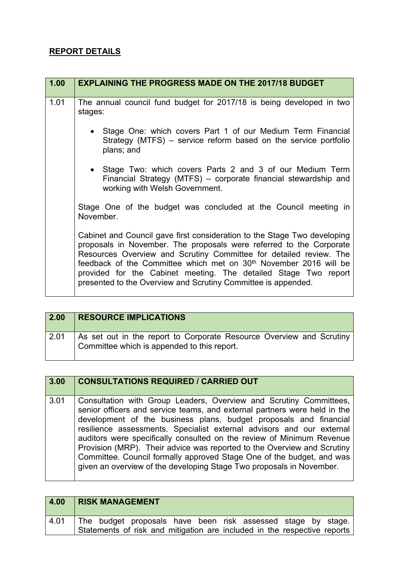## **REPORT DETAILS**

| 1.00 | <b>EXPLAINING THE PROGRESS MADE ON THE 2017/18 BUDGET</b>                                                                                                                                                                                                                                                                                                                                                                                  |
|------|--------------------------------------------------------------------------------------------------------------------------------------------------------------------------------------------------------------------------------------------------------------------------------------------------------------------------------------------------------------------------------------------------------------------------------------------|
| 1.01 | The annual council fund budget for 2017/18 is being developed in two<br>stages:                                                                                                                                                                                                                                                                                                                                                            |
|      | • Stage One: which covers Part 1 of our Medium Term Financial<br>Strategy (MTFS) – service reform based on the service portfolio<br>plans; and                                                                                                                                                                                                                                                                                             |
|      | • Stage Two: which covers Parts 2 and 3 of our Medium Term<br>Financial Strategy (MTFS) – corporate financial stewardship and<br>working with Welsh Government.                                                                                                                                                                                                                                                                            |
|      | Stage One of the budget was concluded at the Council meeting in<br>November.                                                                                                                                                                                                                                                                                                                                                               |
|      | Cabinet and Council gave first consideration to the Stage Two developing<br>proposals in November. The proposals were referred to the Corporate<br>Resources Overview and Scrutiny Committee for detailed review. The<br>feedback of the Committee which met on 30 <sup>th</sup> November 2016 will be<br>provided for the Cabinet meeting. The detailed Stage Two report<br>presented to the Overview and Scrutiny Committee is appended. |

| 2.00 | <b>RESOURCE IMPLICATIONS</b>                                                                                        |
|------|---------------------------------------------------------------------------------------------------------------------|
| 2.01 | As set out in the report to Corporate Resource Overview and Scrutiny<br>Committee which is appended to this report. |

| 3.00 | <b>CONSULTATIONS REQUIRED / CARRIED OUT</b>                                                                                                                                                                                                                                                                                                                                                                                                                                                                                                                                                        |
|------|----------------------------------------------------------------------------------------------------------------------------------------------------------------------------------------------------------------------------------------------------------------------------------------------------------------------------------------------------------------------------------------------------------------------------------------------------------------------------------------------------------------------------------------------------------------------------------------------------|
| 3.01 | Consultation with Group Leaders, Overview and Scrutiny Committees,<br>senior officers and service teams, and external partners were held in the<br>development of the business plans, budget proposals and financial<br>resilience assessments. Specialist external advisors and our external<br>auditors were specifically consulted on the review of Minimum Revenue<br>Provision (MRP). Their advice was reported to the Overview and Scrutiny<br>Committee. Council formally approved Stage One of the budget, and was<br>given an overview of the developing Stage Two proposals in November. |

| 4.00 | <b>RISK MANAGEMENT</b>                                                   |  |
|------|--------------------------------------------------------------------------|--|
| 4.01 | The budget proposals have been risk assessed stage by stage.             |  |
|      | Statements of risk and mitigation are included in the respective reports |  |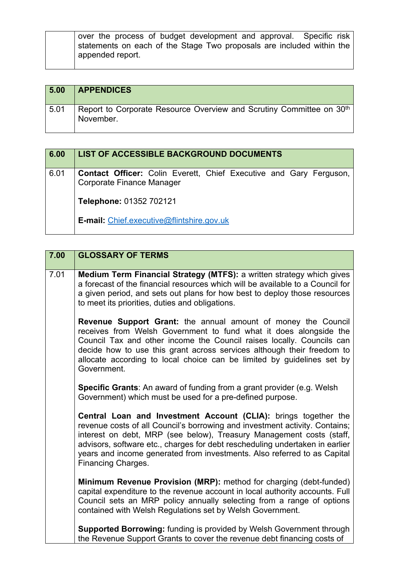| over the process of budget development and approval. Specific risk    |
|-----------------------------------------------------------------------|
| statements on each of the Stage Two proposals are included within the |
| appended report.                                                      |

| 5.00 | <b>APPENDICES</b>                                                                             |
|------|-----------------------------------------------------------------------------------------------|
| 5.01 | Report to Corporate Resource Overview and Scrutiny Committee on 30 <sup>th</sup><br>November. |

| 6.00 | <b>LIST OF ACCESSIBLE BACKGROUND DOCUMENTS</b>                                                                |
|------|---------------------------------------------------------------------------------------------------------------|
| 6.01 | <b>Contact Officer:</b> Colin Everett, Chief Executive and Gary Ferguson,<br><b>Corporate Finance Manager</b> |
|      | Telephone: 01352 702121                                                                                       |
|      | <b>E-mail:</b> Chief.executive@flintshire.gov.uk                                                              |

| 7.00 | <b>GLOSSARY OF TERMS</b>                                                                                                                                                                                                                                                                                                                                                                                 |
|------|----------------------------------------------------------------------------------------------------------------------------------------------------------------------------------------------------------------------------------------------------------------------------------------------------------------------------------------------------------------------------------------------------------|
| 7.01 | Medium Term Financial Strategy (MTFS): a written strategy which gives<br>a forecast of the financial resources which will be available to a Council for<br>a given period, and sets out plans for how best to deploy those resources<br>to meet its priorities, duties and obligations.                                                                                                                  |
|      | Revenue Support Grant: the annual amount of money the Council<br>receives from Welsh Government to fund what it does alongside the<br>Council Tax and other income the Council raises locally. Councils can<br>decide how to use this grant across services although their freedom to<br>allocate according to local choice can be limited by guidelines set by<br>Government.                           |
|      | Specific Grants: An award of funding from a grant provider (e.g. Welsh<br>Government) which must be used for a pre-defined purpose.                                                                                                                                                                                                                                                                      |
|      | Central Loan and Investment Account (CLIA): brings together the<br>revenue costs of all Council's borrowing and investment activity. Contains;<br>interest on debt, MRP (see below), Treasury Management costs (staff,<br>advisors, software etc., charges for debt rescheduling undertaken in earlier<br>years and income generated from investments. Also referred to as Capital<br>Financing Charges. |
|      | Minimum Revenue Provision (MRP): method for charging (debt-funded)<br>capital expenditure to the revenue account in local authority accounts. Full<br>Council sets an MRP policy annually selecting from a range of options<br>contained with Welsh Regulations set by Welsh Government.                                                                                                                 |
|      | <b>Supported Borrowing: funding is provided by Welsh Government through</b><br>the Revenue Support Grants to cover the revenue debt financing costs of                                                                                                                                                                                                                                                   |